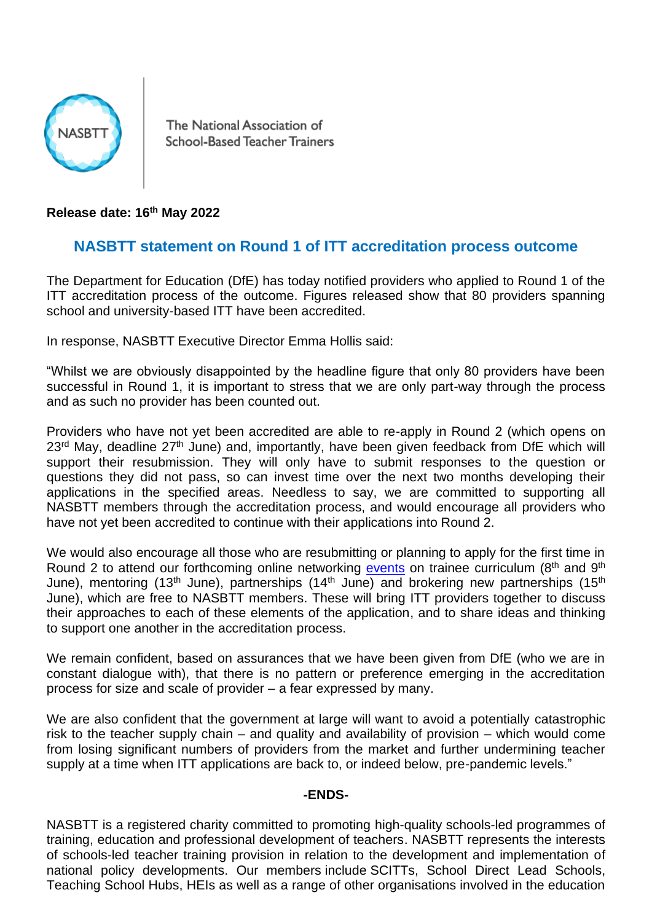

The National Association of School-Based Teacher Trainers

**Release date: 16th May 2022**

## **NASBTT statement on Round 1 of ITT accreditation process outcome**

The Department for Education (DfE) has today notified providers who applied to Round 1 of the ITT accreditation process of the outcome. Figures released show that 80 providers spanning school and university-based ITT have been accredited.

In response, NASBTT Executive Director Emma Hollis said:

"Whilst we are obviously disappointed by the headline figure that only 80 providers have been successful in Round 1, it is important to stress that we are only part-way through the process and as such no provider has been counted out.

Providers who have not yet been accredited are able to re-apply in Round 2 (which opens on  $23<sup>rd</sup>$  May, deadline  $27<sup>th</sup>$  June) and, importantly, have been given feedback from DfE which will support their resubmission. They will only have to submit responses to the question or questions they did not pass, so can invest time over the next two months developing their applications in the specified areas. Needless to say, we are committed to supporting all NASBTT members through the accreditation process, and would encourage all providers who have not yet been accredited to continue with their applications into Round 2.

We would also encourage all those who are resubmitting or planning to apply for the first time in Round 2 to attend our forthcoming online networking [events](https://www.nasbtt.org.uk/event/espresso-shot-networking-event-itt-market-review-the-accreditation-process-round-2/) on trainee curriculum ( $8<sup>th</sup>$  and  $9<sup>th</sup>$ ) June), mentoring (13<sup>th</sup> June), partnerships (14<sup>th</sup> June) and brokering new partnerships (15<sup>th</sup> June), which are free to NASBTT members. These will bring ITT providers together to discuss their approaches to each of these elements of the application, and to share ideas and thinking to support one another in the accreditation process.

We remain confident, based on assurances that we have been given from DfE (who we are in constant dialogue with), that there is no pattern or preference emerging in the accreditation process for size and scale of provider – a fear expressed by many.

We are also confident that the government at large will want to avoid a potentially catastrophic risk to the teacher supply chain – and quality and availability of provision – which would come from losing significant numbers of providers from the market and further undermining teacher supply at a time when ITT applications are back to, or indeed below, pre-pandemic levels."

## **-ENDS-**

NASBTT is a registered charity committed to promoting high-quality schools-led programmes of training, education and professional development of teachers. NASBTT represents the interests of schools-led teacher training provision in relation to the development and implementation of national policy developments. Our members include SCITTs, School Direct Lead Schools, Teaching School Hubs, HEIs as well as a range of other organisations involved in the education